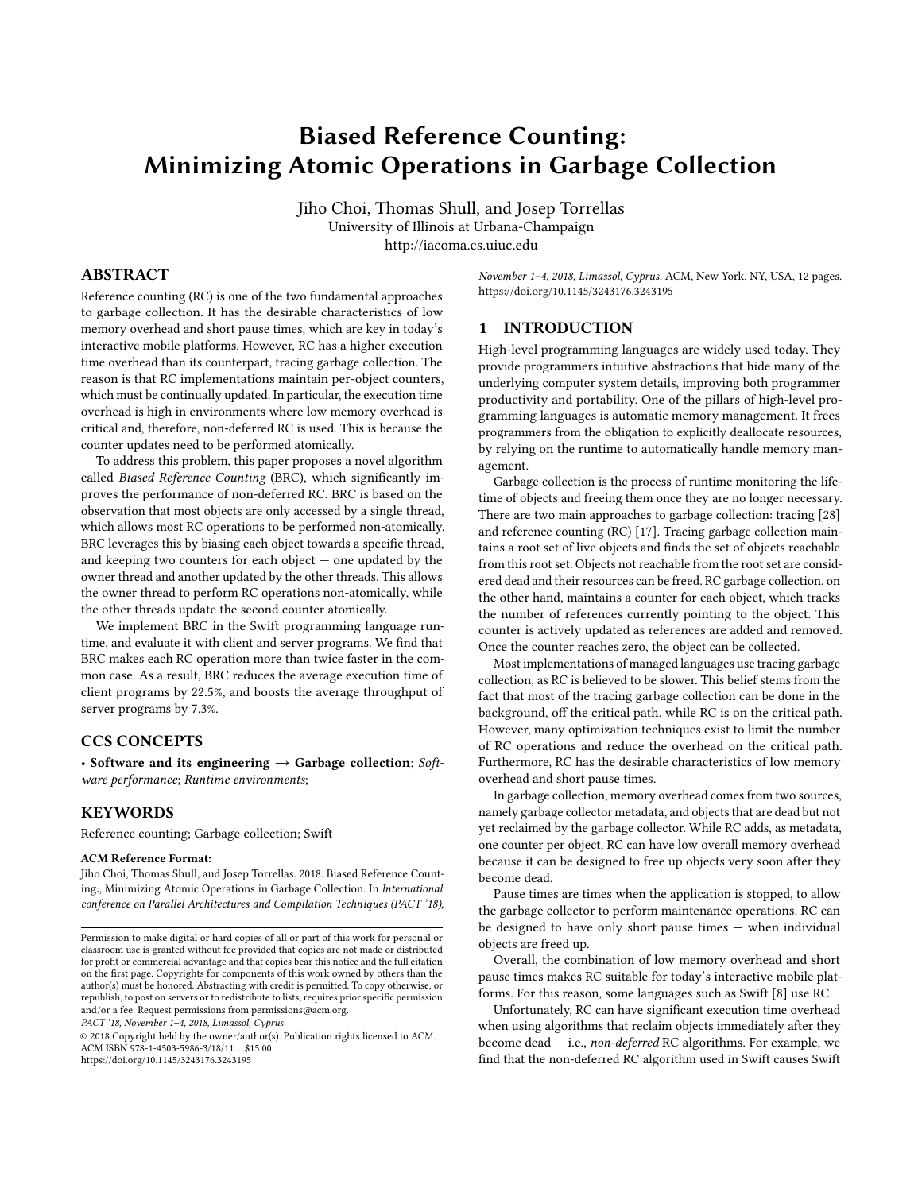# Biased Reference Counting: Minimizing Atomic Operations in Garbage Collection

Jiho Choi, Thomas Shull, and Josep Torrellas University of Illinois at Urbana-Champaign http://iacoma.cs.uiuc.edu

# ABSTRACT

Reference counting (RC) is one of the two fundamental approaches to garbage collection. It has the desirable characteristics of low memory overhead and short pause times, which are key in today's interactive mobile platforms. However, RC has a higher execution time overhead than its counterpart, tracing garbage collection. The reason is that RC implementations maintain per-object counters, which must be continually updated. In particular, the execution time overhead is high in environments where low memory overhead is critical and, therefore, non-deferred RC is used. This is because the counter updates need to be performed atomically.

To address this problem, this paper proposes a novel algorithm called Biased Reference Counting (BRC), which significantly improves the performance of non-deferred RC. BRC is based on the observation that most objects are only accessed by a single thread, which allows most RC operations to be performed non-atomically. BRC leverages this by biasing each object towards a specific thread, and keeping two counters for each object  $-$  one updated by the owner thread and another updated by the other threads. This allows the owner thread to perform RC operations non-atomically, while the other threads update the second counter atomically.

We implement BRC in the Swift programming language runtime, and evaluate it with client and server programs. We find that BRC makes each RC operation more than twice faster in the common case. As a result, BRC reduces the average execution time of client programs by 22.5%, and boosts the average throughput of server programs by 7.3%.

### CCS CONCEPTS

• Software and its engineering  $\rightarrow$  Garbage collection; Software performance; Runtime environments;

# **KEYWORDS**

Reference counting; Garbage collection; Swift

#### ACM Reference Format:

Jiho Choi, Thomas Shull, and Josep Torrellas. 2018. Biased Reference Counting:, Minimizing Atomic Operations in Garbage Collection. In International conference on Parallel Architectures and Compilation Techniques (PACT '18),

PACT '18, November 1–4, 2018, Limassol, Cyprus

© 2018 Copyright held by the owner/author(s). Publication rights licensed to ACM. ACM ISBN 978-1-4503-5986-3/18/11...\$15.00 <https://doi.org/10.1145/3243176.3243195>

November 1–4, 2018, Limassol, Cyprus. ACM, New York, NY, USA, [12](#page-11-0) pages. <https://doi.org/10.1145/3243176.3243195>

#### <span id="page-0-0"></span>1 INTRODUCTION

High-level programming languages are widely used today. They provide programmers intuitive abstractions that hide many of the underlying computer system details, improving both programmer productivity and portability. One of the pillars of high-level programming languages is automatic memory management. It frees programmers from the obligation to explicitly deallocate resources, by relying on the runtime to automatically handle memory management.

Garbage collection is the process of runtime monitoring the lifetime of objects and freeing them once they are no longer necessary. There are two main approaches to garbage collection: tracing [\[28\]](#page-11-1) and reference counting (RC) [\[17\]](#page-10-0). Tracing garbage collection maintains a root set of live objects and finds the set of objects reachable from this root set. Objects not reachable from the root set are considered dead and their resources can be freed. RC garbage collection, on the other hand, maintains a counter for each object, which tracks the number of references currently pointing to the object. This counter is actively updated as references are added and removed. Once the counter reaches zero, the object can be collected.

Most implementations of managed languages use tracing garbage collection, as RC is believed to be slower. This belief stems from the fact that most of the tracing garbage collection can be done in the background, off the critical path, while RC is on the critical path. However, many optimization techniques exist to limit the number of RC operations and reduce the overhead on the critical path. Furthermore, RC has the desirable characteristics of low memory overhead and short pause times.

In garbage collection, memory overhead comes from two sources, namely garbage collector metadata, and objects that are dead but not yet reclaimed by the garbage collector. While RC adds, as metadata, one counter per object, RC can have low overall memory overhead because it can be designed to free up objects very soon after they become dead.

Pause times are times when the application is stopped, to allow the garbage collector to perform maintenance operations. RC can be designed to have only short pause times — when individual objects are freed up.

Overall, the combination of low memory overhead and short pause times makes RC suitable for today's interactive mobile platforms. For this reason, some languages such as Swift [\[8\]](#page-10-1) use RC.

Unfortunately, RC can have significant execution time overhead when using algorithms that reclaim objects immediately after they become dead — i.e., non-deferred RC algorithms. For example, we find that the non-deferred RC algorithm used in Swift causes Swift

Permission to make digital or hard copies of all or part of this work for personal or classroom use is granted without fee provided that copies are not made or distributed for profit or commercial advantage and that copies bear this notice and the full citation on the first page. Copyrights for components of this work owned by others than the author(s) must be honored. Abstracting with credit is permitted. To copy otherwise, or republish, to post on servers or to redistribute to lists, requires prior specific permission and/or a fee. Request permissions from permissions@acm.org.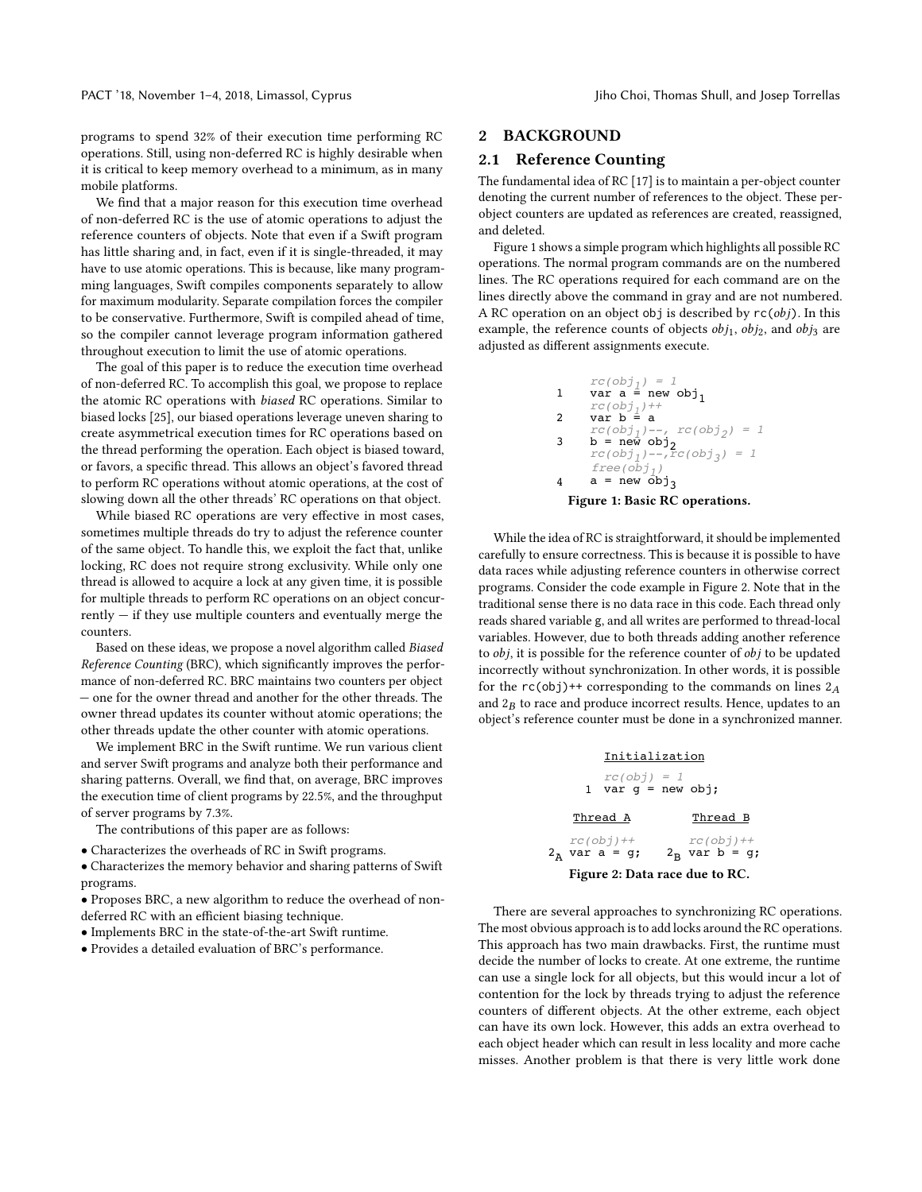programs to spend 32% of their execution time performing RC operations. Still, using non-deferred RC is highly desirable when it is critical to keep memory overhead to a minimum, as in many mobile platforms.

We find that a major reason for this execution time overhead of non-deferred RC is the use of atomic operations to adjust the reference counters of objects. Note that even if a Swift program has little sharing and, in fact, even if it is single-threaded, it may have to use atomic operations. This is because, like many programming languages, Swift compiles components separately to allow for maximum modularity. Separate compilation forces the compiler to be conservative. Furthermore, Swift is compiled ahead of time, so the compiler cannot leverage program information gathered throughout execution to limit the use of atomic operations.

The goal of this paper is to reduce the execution time overhead of non-deferred RC. To accomplish this goal, we propose to replace the atomic RC operations with biased RC operations. Similar to biased locks [\[25\]](#page-11-2), our biased operations leverage uneven sharing to create asymmetrical execution times for RC operations based on the thread performing the operation. Each object is biased toward, or favors, a specific thread. This allows an object's favored thread to perform RC operations without atomic operations, at the cost of slowing down all the other threads' RC operations on that object.

While biased RC operations are very effective in most cases, sometimes multiple threads do try to adjust the reference counter of the same object. To handle this, we exploit the fact that, unlike locking, RC does not require strong exclusivity. While only one thread is allowed to acquire a lock at any given time, it is possible for multiple threads to perform RC operations on an object concur $r$ ently  $-$  if they use multiple counters and eventually merge the counters.

Based on these ideas, we propose a novel algorithm called Biased Reference Counting (BRC), which significantly improves the performance of non-deferred RC. BRC maintains two counters per object — one for the owner thread and another for the other threads. The owner thread updates its counter without atomic operations; the other threads update the other counter with atomic operations.

We implement BRC in the Swift runtime. We run various client and server Swift programs and analyze both their performance and sharing patterns. Overall, we find that, on average, BRC improves the execution time of client programs by 22.5%, and the throughput of server programs by 7.3%.

The contributions of this paper are as follows:

• Characterizes the overheads of RC in Swift programs.

• Characterizes the memory behavior and sharing patterns of Swift programs.

• Proposes BRC, a new algorithm to reduce the overhead of nondeferred RC with an efficient biasing technique.

• Implements BRC in the state-of-the-art Swift runtime.

• Provides a detailed evaluation of BRC's performance.

# 2 BACKGROUND

# <span id="page-1-2"></span>2.1 Reference Counting

The fundamental idea of RC [\[17\]](#page-10-0) is to maintain a per-object counter denoting the current number of references to the object. These perobject counters are updated as references are created, reassigned, and deleted.

Figure [1](#page-1-0) shows a simple program which highlights all possible RC operations. The normal program commands are on the numbered lines. The RC operations required for each command are on the lines directly above the command in gray and are not numbered. A RC operation on an object obj is described by  $rc(obj)$ . In this example, the reference counts of objects  $obj_1$ ,  $obj_2$ , and  $obj_3$  are adjusted as different assignments execute.

<span id="page-1-0"></span>
$$
rc(obj_1) = 1
$$
  
\n1 var a = new obj<sub>1</sub>  
\n
$$
rc(obj_1) +
$$
  
\n2 var b = a  
\n
$$
rc(obj_1) -
$$
  
\n3 b = new obj<sub>2</sub>  
\n
$$
rc(obj_1) -
$$
  
\n
$$
rcc(obj_3) = 1
$$
  
\n
$$
free(obj_1)
$$
  
\n4 a = new obj<sub>3</sub>  
\nFigure 1: Basic RC operations.

While the idea of RC is straightforward, it should be implemented carefully to ensure correctness. This is because it is possible to have data races while adjusting reference counters in otherwise correct programs. Consider the code example in Figure [2.](#page-1-1) Note that in the traditional sense there is no data race in this code. Each thread only reads shared variable g, and all writes are performed to thread-local variables. However, due to both threads adding another reference to obj, it is possible for the reference counter of obj to be updated incorrectly without synchronization. In other words, it is possible for the  $rc(obj)$ ++ corresponding to the commands on lines  $2_A$ and  $2B$  to race and produce incorrect results. Hence, updates to an object's reference counter must be done in a symphronized manner object's reference counter must be done in a synchronized manner.

<span id="page-1-1"></span>

There are several approaches to synchronizing RC operations. The most obvious approach is to add locks around the RC operations. This approach has two main drawbacks. First, the runtime must decide the number of locks to create. At one extreme, the runtime can use a single lock for all objects, but this would incur a lot of contention for the lock by threads trying to adjust the reference counters of different objects. At the other extreme, each object can have its own lock. However, this adds an extra overhead to each object header which can result in less locality and more cache misses. Another problem is that there is very little work done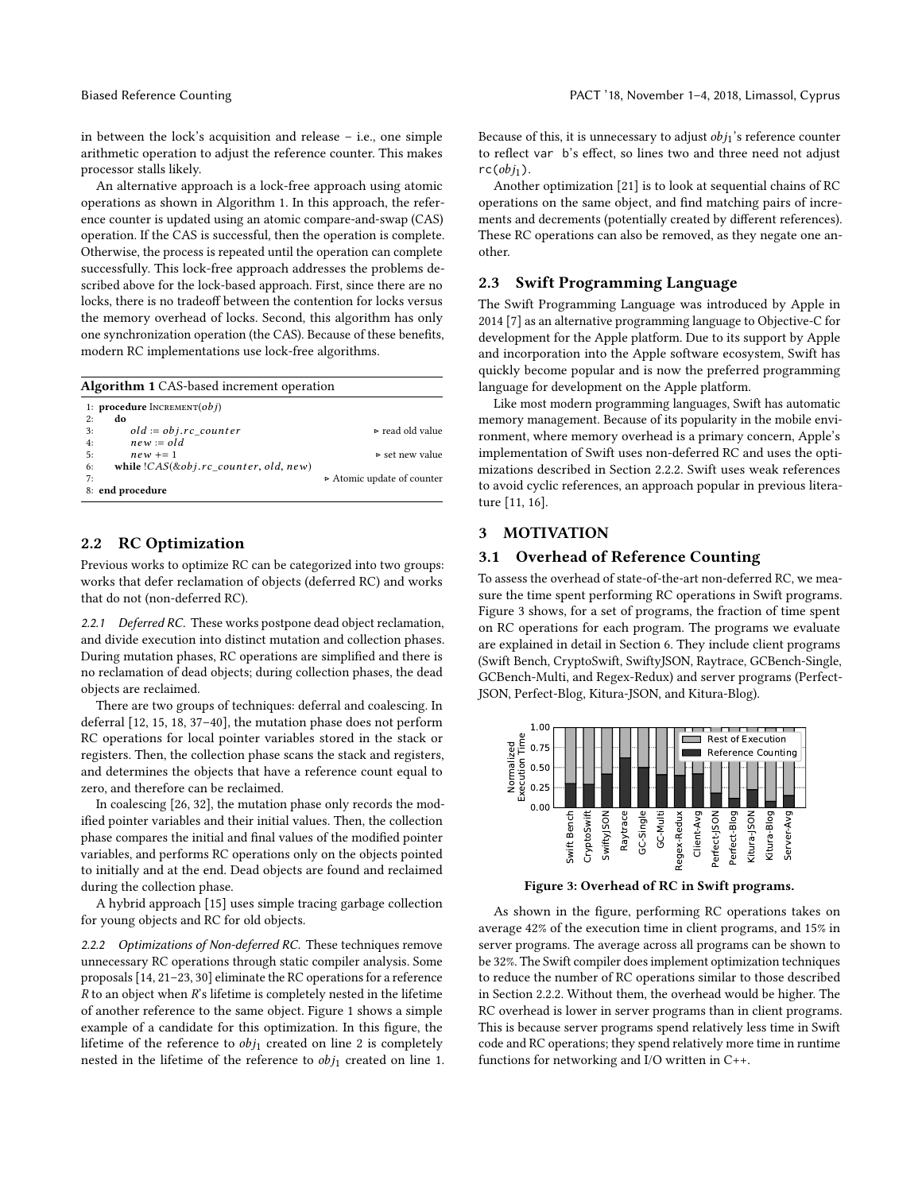in between the lock's acquisition and release – i.e., one simple arithmetic operation to adjust the reference counter. This makes processor stalls likely.

An alternative approach is a lock-free approach using atomic operations as shown in Algorithm [1.](#page-2-0) In this approach, the reference counter is updated using an atomic compare-and-swap (CAS) operation. If the CAS is successful, then the operation is complete. Otherwise, the process is repeated until the operation can complete successfully. This lock-free approach addresses the problems described above for the lock-based approach. First, since there are no locks, there is no tradeoff between the contention for locks versus the memory overhead of locks. Second, this algorithm has only one synchronization operation (the CAS). Because of these benefits, modern RC implementations use lock-free algorithms.

<span id="page-2-0"></span>

| <b>Algorithm 1</b> CAS-based increment operation   |                                 |  |  |  |  |  |  |
|----------------------------------------------------|---------------------------------|--|--|--|--|--|--|
| 1: <b>procedure</b> $INCREMENT(obj)$               |                                 |  |  |  |  |  |  |
| 2:<br>do                                           |                                 |  |  |  |  |  |  |
| $old := obj.rc \ counter$<br>3:                    | $\triangleright$ read old value |  |  |  |  |  |  |
| $new = old$<br>4:                                  |                                 |  |  |  |  |  |  |
| 5:<br>$new += 1$                                   | $\triangleright$ set new value  |  |  |  |  |  |  |
| while $(CAS(\& obj.rc \ counter, old, new))$<br>6: |                                 |  |  |  |  |  |  |
| 7:                                                 | Atomic update of counter        |  |  |  |  |  |  |
| 8: end procedure                                   |                                 |  |  |  |  |  |  |

#### <span id="page-2-4"></span>2.2 RC Optimization

Previous works to optimize RC can be categorized into two groups: works that defer reclamation of objects (deferred RC) and works that do not (non-deferred RC).

<span id="page-2-3"></span>2.2.1 Deferred RC. These works postpone dead object reclamation, and divide execution into distinct mutation and collection phases. During mutation phases, RC operations are simplified and there is no reclamation of dead objects; during collection phases, the dead objects are reclaimed.

There are two groups of techniques: deferral and coalescing. In deferral [\[12,](#page-10-2) [15,](#page-10-3) [18,](#page-10-4) [37–](#page-11-3)[40\]](#page-11-4), the mutation phase does not perform RC operations for local pointer variables stored in the stack or registers. Then, the collection phase scans the stack and registers, and determines the objects that have a reference count equal to zero, and therefore can be reclaimed.

In coalescing [\[26,](#page-11-5) [32\]](#page-11-6), the mutation phase only records the modified pointer variables and their initial values. Then, the collection phase compares the initial and final values of the modified pointer variables, and performs RC operations only on the objects pointed to initially and at the end. Dead objects are found and reclaimed during the collection phase.

A hybrid approach [\[15\]](#page-10-3) uses simple tracing garbage collection for young objects and RC for old objects.

<span id="page-2-1"></span>2.2.2 Optimizations of Non-deferred RC. These techniques remove unnecessary RC operations through static compiler analysis. Some proposals [\[14,](#page-10-5) [21](#page-11-7)[–23,](#page-11-8) [30\]](#page-11-9) eliminate the RC operations for a reference  $R$  to an object when  $R$ 's lifetime is completely nested in the lifetime of another reference to the same object. Figure [1](#page-1-0) shows a simple example of a candidate for this optimization. In this figure, the lifetime of the reference to  $obj_1$  created on line 2 is completely nested in the lifetime of the reference to  $obj_1$  created on line 1. Because of this, it is unnecessary to adjust  $obj_1$ 's reference counter to reflect var b's effect, so lines two and three need not adjust  $rc(obj<sub>1</sub>)$ .

Another optimization [\[21\]](#page-11-7) is to look at sequential chains of RC operations on the same object, and find matching pairs of increments and decrements (potentially created by different references). These RC operations can also be removed, as they negate one another.

#### 2.3 Swift Programming Language

The Swift Programming Language was introduced by Apple in 2014 [\[7\]](#page-10-6) as an alternative programming language to Objective-C for development for the Apple platform. Due to its support by Apple and incorporation into the Apple software ecosystem, Swift has quickly become popular and is now the preferred programming language for development on the Apple platform.

Like most modern programming languages, Swift has automatic memory management. Because of its popularity in the mobile environment, where memory overhead is a primary concern, Apple's implementation of Swift uses non-deferred RC and uses the optimizations described in Section [2.2.2.](#page-2-1) Swift uses weak references to avoid cyclic references, an approach popular in previous literature [\[11,](#page-10-7) [16\]](#page-10-8).

# 3 MOTIVATION

# 3.1 Overhead of Reference Counting

To assess the overhead of state-of-the-art non-deferred RC, we measure the time spent performing RC operations in Swift programs. Figure [3](#page-2-2) shows, for a set of programs, the fraction of time spent on RC operations for each program. The programs we evaluate are explained in detail in Section [6.](#page-7-0) They include client programs (Swift Bench, CryptoSwift, SwiftyJSON, Raytrace, GCBench-Single, GCBench-Multi, and Regex-Redux) and server programs (Perfect-JSON, Perfect-Blog, Kitura-JSON, and Kitura-Blog).

<span id="page-2-2"></span>

Figure 3: Overhead of RC in Swift programs.

As shown in the figure, performing RC operations takes on average 42% of the execution time in client programs, and 15% in server programs. The average across all programs can be shown to be 32%. The Swift compiler does implement optimization techniques to reduce the number of RC operations similar to those described in Section [2.2.2.](#page-2-1) Without them, the overhead would be higher. The RC overhead is lower in server programs than in client programs. This is because server programs spend relatively less time in Swift code and RC operations; they spend relatively more time in runtime functions for networking and I/O written in C++.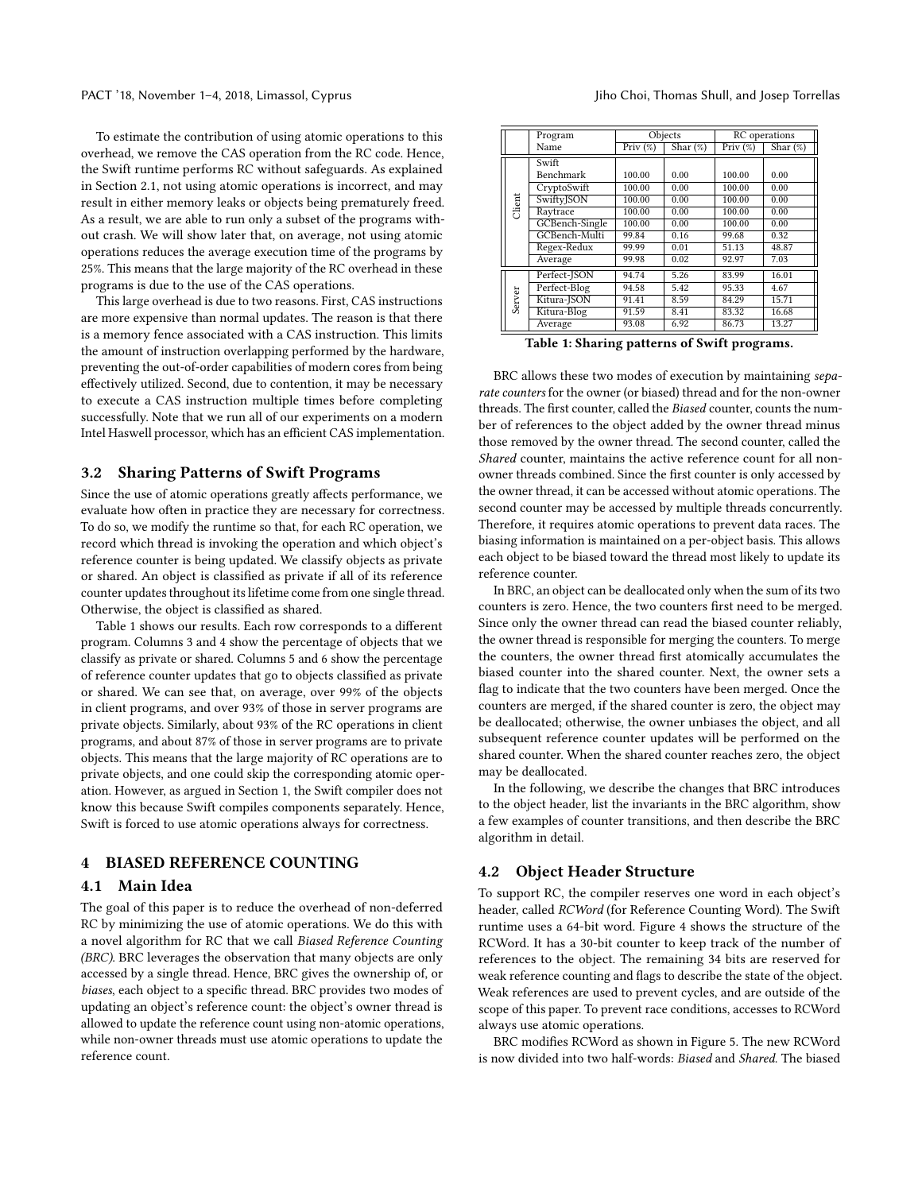To estimate the contribution of using atomic operations to this overhead, we remove the CAS operation from the RC code. Hence, the Swift runtime performs RC without safeguards. As explained in Section [2.1,](#page-1-0) not using atomic operations is incorrect, and may result in either memory leaks or objects being prematurely freed. As a result, we are able to run only a subset of the programs without crash. We will show later that, on average, not using atomic operations reduces the average execution time of the programs by 25%. This means that the large majority of the RC overhead in these programs is due to the use of the CAS operations.

This large overhead is due to two reasons. First, CAS instructions are more expensive than normal updates. The reason is that there is a memory fence associated with a CAS instruction. This limits the amount of instruction overlapping performed by the hardware, preventing the out-of-order capabilities of modern cores from being effectively utilized. Second, due to contention, it may be necessary to execute a CAS instruction multiple times before completing successfully. Note that we run all of our experiments on a modern Intel Haswell processor, which has an efficient CAS implementation.

#### 3.2 Sharing Patterns of Swift Programs

Since the use of atomic operations greatly affects performance, we evaluate how often in practice they are necessary for correctness. To do so, we modify the runtime so that, for each RC operation, we record which thread is invoking the operation and which object's reference counter is being updated. We classify objects as private or shared. An object is classified as private if all of its reference counter updates throughout its lifetime come from one single thread. Otherwise, the object is classified as shared.

Table [1](#page-3-0) shows our results. Each row corresponds to a different program. Columns 3 and 4 show the percentage of objects that we classify as private or shared. Columns 5 and 6 show the percentage of reference counter updates that go to objects classified as private or shared. We can see that, on average, over 99% of the objects in client programs, and over 93% of those in server programs are private objects. Similarly, about 93% of the RC operations in client programs, and about 87% of those in server programs are to private objects. This means that the large majority of RC operations are to private objects, and one could skip the corresponding atomic operation. However, as argued in Section [1,](#page-0-0) the Swift compiler does not know this because Swift compiles components separately. Hence, Swift is forced to use atomic operations always for correctness.

# 4 BIASED REFERENCE COUNTING

#### 4.1 Main Idea

The goal of this paper is to reduce the overhead of non-deferred RC by minimizing the use of atomic operations. We do this with a novel algorithm for RC that we call Biased Reference Counting (BRC). BRC leverages the observation that many objects are only accessed by a single thread. Hence, BRC gives the ownership of, or biases, each object to a specific thread. BRC provides two modes of updating an object's reference count: the object's owner thread is allowed to update the reference count using non-atomic operations, while non-owner threads must use atomic operations to update the reference count.

<span id="page-3-0"></span>

|        | Program        |                            | Objects | RC operations                  |                              |  |
|--------|----------------|----------------------------|---------|--------------------------------|------------------------------|--|
|        | Name           | Shar $(\%)$<br>Priv $(\%)$ |         | $\overline{\mathrm{Priv}}(\%)$ | $\overline{\text{Shar}}(\%)$ |  |
|        | Swift          |                            |         |                                |                              |  |
|        | Benchmark      | 100.00                     | 0.00    | 100.00                         | 0.00                         |  |
|        | CryptoSwift    | 100.00                     | 0.00    | 100.00                         | 0.00                         |  |
|        | SwiftyJSON     | 100.00                     | 0.00    | 100.00                         | 0.00                         |  |
| Client | Raytrace       | 100.00                     | 0.00    | 100.00                         | 0.00                         |  |
|        | GCBench-Single | 100.00                     | 0.00    | 100.00                         | 0.00                         |  |
|        | GCBench-Multi  | 99.84                      | 0.16    | 99.68                          | 0.32                         |  |
|        | Regex-Redux    | 99.99                      | 0.01    | 51.13                          | 48.87                        |  |
|        | Average        | 99.98                      | 0.02    | 92.97                          | 7.03                         |  |
|        | Perfect-JSON   | 94.74                      | 5.26    | 83.99                          | 16.01                        |  |
|        | Perfect-Blog   | 94.58                      | 5.42    | 95.33                          | 4.67                         |  |
| Server | Kitura-ISON    | 91.41                      | 8.59    | 84.29                          | 15.71                        |  |
|        | Kitura-Blog    | 91.59                      | 8.41    | 83.32                          | 16.68                        |  |
|        | Average        | 93.08                      | 6.92    | 86.73                          | 13.27                        |  |

Table 1: Sharing patterns of Swift programs.

BRC allows these two modes of execution by maintaining separate counters for the owner (or biased) thread and for the non-owner threads. The first counter, called the Biased counter, counts the number of references to the object added by the owner thread minus those removed by the owner thread. The second counter, called the Shared counter, maintains the active reference count for all nonowner threads combined. Since the first counter is only accessed by the owner thread, it can be accessed without atomic operations. The second counter may be accessed by multiple threads concurrently. Therefore, it requires atomic operations to prevent data races. The biasing information is maintained on a per-object basis. This allows each object to be biased toward the thread most likely to update its reference counter.

In BRC, an object can be deallocated only when the sum of its two counters is zero. Hence, the two counters first need to be merged. Since only the owner thread can read the biased counter reliably, the owner thread is responsible for merging the counters. To merge the counters, the owner thread first atomically accumulates the biased counter into the shared counter. Next, the owner sets a flag to indicate that the two counters have been merged. Once the counters are merged, if the shared counter is zero, the object may be deallocated; otherwise, the owner unbiases the object, and all subsequent reference counter updates will be performed on the shared counter. When the shared counter reaches zero, the object may be deallocated.

In the following, we describe the changes that BRC introduces to the object header, list the invariants in the BRC algorithm, show a few examples of counter transitions, and then describe the BRC algorithm in detail.

#### <span id="page-3-1"></span>4.2 Object Header Structure

To support RC, the compiler reserves one word in each object's header, called RCWord (for Reference Counting Word). The Swift runtime uses a 64-bit word. Figure [4](#page-4-0) shows the structure of the RCWord. It has a 30-bit counter to keep track of the number of references to the object. The remaining 34 bits are reserved for weak reference counting and flags to describe the state of the object. Weak references are used to prevent cycles, and are outside of the scope of this paper. To prevent race conditions, accesses to RCWord always use atomic operations.

BRC modifies RCWord as shown in Figure [5.](#page-4-0) The new RCWord is now divided into two half-words: Biased and Shared. The biased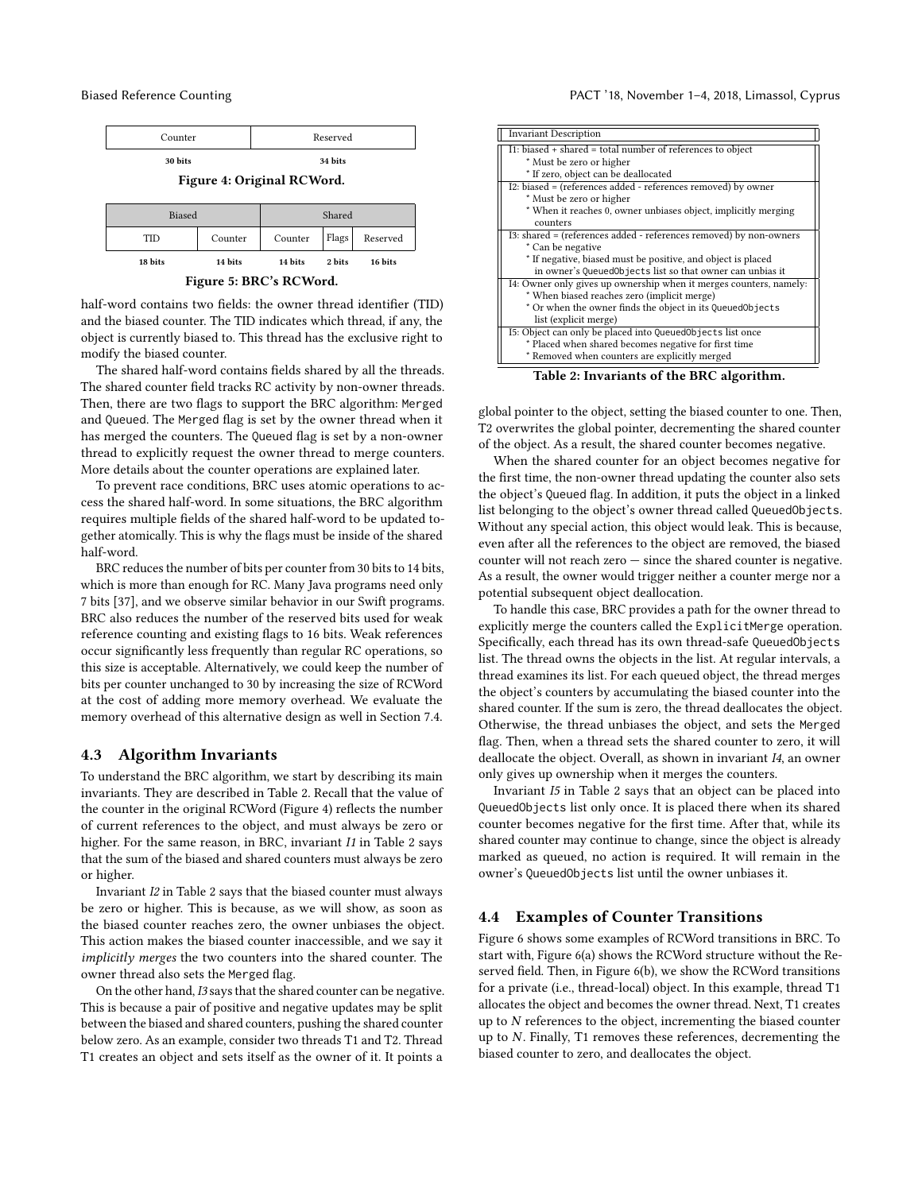<span id="page-4-0"></span>

half-word contains two fields: the owner thread identifier (TID) and the biased counter. The TID indicates which thread, if any, the object is currently biased to. This thread has the exclusive right to modify the biased counter.

The shared half-word contains fields shared by all the threads. The shared counter field tracks RC activity by non-owner threads. Then, there are two flags to support the BRC algorithm: Merged and Queued. The Merged flag is set by the owner thread when it has merged the counters. The Queued flag is set by a non-owner thread to explicitly request the owner thread to merge counters. More details about the counter operations are explained later.

To prevent race conditions, BRC uses atomic operations to access the shared half-word. In some situations, the BRC algorithm requires multiple fields of the shared half-word to be updated together atomically. This is why the flags must be inside of the shared half-word.

BRC reduces the number of bits per counter from 30 bits to 14 bits, which is more than enough for RC. Many Java programs need only 7 bits [\[37\]](#page-11-3), and we observe similar behavior in our Swift programs. BRC also reduces the number of the reserved bits used for weak reference counting and existing flags to 16 bits. Weak references occur significantly less frequently than regular RC operations, so this size is acceptable. Alternatively, we could keep the number of bits per counter unchanged to 30 by increasing the size of RCWord at the cost of adding more memory overhead. We evaluate the memory overhead of this alternative design as well in Section [7.4.](#page-9-0)

#### 4.3 Algorithm Invariants

To understand the BRC algorithm, we start by describing its main invariants. They are described in Table [2.](#page-4-1) Recall that the value of the counter in the original RCWord (Figure [4\)](#page-4-0) reflects the number of current references to the object, and must always be zero or higher. For the same reason, in BRC, invariant I1 in Table [2](#page-4-1) says that the sum of the biased and shared counters must always be zero or higher.

Invariant I2 in Table [2](#page-4-1) says that the biased counter must always be zero or higher. This is because, as we will show, as soon as the biased counter reaches zero, the owner unbiases the object. This action makes the biased counter inaccessible, and we say it implicitly merges the two counters into the shared counter. The owner thread also sets the Merged flag.

On the other hand, I3 says that the shared counter can be negative. This is because a pair of positive and negative updates may be split between the biased and shared counters, pushing the shared counter below zero. As an example, consider two threads T1 and T2. Thread T1 creates an object and sets itself as the owner of it. It points a

<span id="page-4-1"></span>

| <b>Invariant Description</b>                                       |  |  |  |  |  |  |
|--------------------------------------------------------------------|--|--|--|--|--|--|
| I1: biased + shared = total number of references to object         |  |  |  |  |  |  |
| * Must be zero or higher                                           |  |  |  |  |  |  |
| * If zero, object can be deallocated                               |  |  |  |  |  |  |
| I2: biased = (references added - references removed) by owner      |  |  |  |  |  |  |
| * Must be zero or higher                                           |  |  |  |  |  |  |
| * When it reaches 0, owner unbiases object, implicitly merging     |  |  |  |  |  |  |
| counters                                                           |  |  |  |  |  |  |
| I3: shared = (references added - references removed) by non-owners |  |  |  |  |  |  |
| * Can be negative                                                  |  |  |  |  |  |  |
| * If negative, biased must be positive, and object is placed       |  |  |  |  |  |  |
| in owner's QueuedObjects list so that owner can unbias it          |  |  |  |  |  |  |
| I4: Owner only gives up ownership when it merges counters, namely: |  |  |  |  |  |  |
| * When biased reaches zero (implicit merge)                        |  |  |  |  |  |  |
| * Or when the owner finds the object in its QueuedObjects          |  |  |  |  |  |  |
| list (explicit merge)                                              |  |  |  |  |  |  |
| I5: Object can only be placed into QueuedObjects list once         |  |  |  |  |  |  |
| * Placed when shared becomes negative for first time               |  |  |  |  |  |  |
| * Removed when counters are explicitly merged                      |  |  |  |  |  |  |
| 7011 A T                                                           |  |  |  |  |  |  |

Table 2: Invariants of the BRC algorithm.

global pointer to the object, setting the biased counter to one. Then, T2 overwrites the global pointer, decrementing the shared counter of the object. As a result, the shared counter becomes negative.

When the shared counter for an object becomes negative for the first time, the non-owner thread updating the counter also sets the object's Queued flag. In addition, it puts the object in a linked list belonging to the object's owner thread called QueuedObjects. Without any special action, this object would leak. This is because, even after all the references to the object are removed, the biased counter will not reach zero — since the shared counter is negative. As a result, the owner would trigger neither a counter merge nor a potential subsequent object deallocation.

To handle this case, BRC provides a path for the owner thread to explicitly merge the counters called the ExplicitMerge operation. Specifically, each thread has its own thread-safe QueuedObjects list. The thread owns the objects in the list. At regular intervals, a thread examines its list. For each queued object, the thread merges the object's counters by accumulating the biased counter into the shared counter. If the sum is zero, the thread deallocates the object. Otherwise, the thread unbiases the object, and sets the Merged flag. Then, when a thread sets the shared counter to zero, it will deallocate the object. Overall, as shown in invariant I4, an owner only gives up ownership when it merges the counters.

Invariant I5 in Table [2](#page-4-1) says that an object can be placed into QueuedObjects list only once. It is placed there when its shared counter becomes negative for the first time. After that, while its shared counter may continue to change, since the object is already marked as queued, no action is required. It will remain in the owner's QueuedObjects list until the owner unbiases it.

#### 4.4 Examples of Counter Transitions

Figure [6](#page-5-0) shows some examples of RCWord transitions in BRC. To start with, Figure [6\(](#page-5-0)a) shows the RCWord structure without the Reserved field. Then, in Figure [6\(](#page-5-0)b), we show the RCWord transitions for a private (i.e., thread-local) object. In this example, thread T1 allocates the object and becomes the owner thread. Next, T1 creates up to  $N$  references to the object, incrementing the biased counter up to N. Finally, T1 removes these references, decrementing the biased counter to zero, and deallocates the object.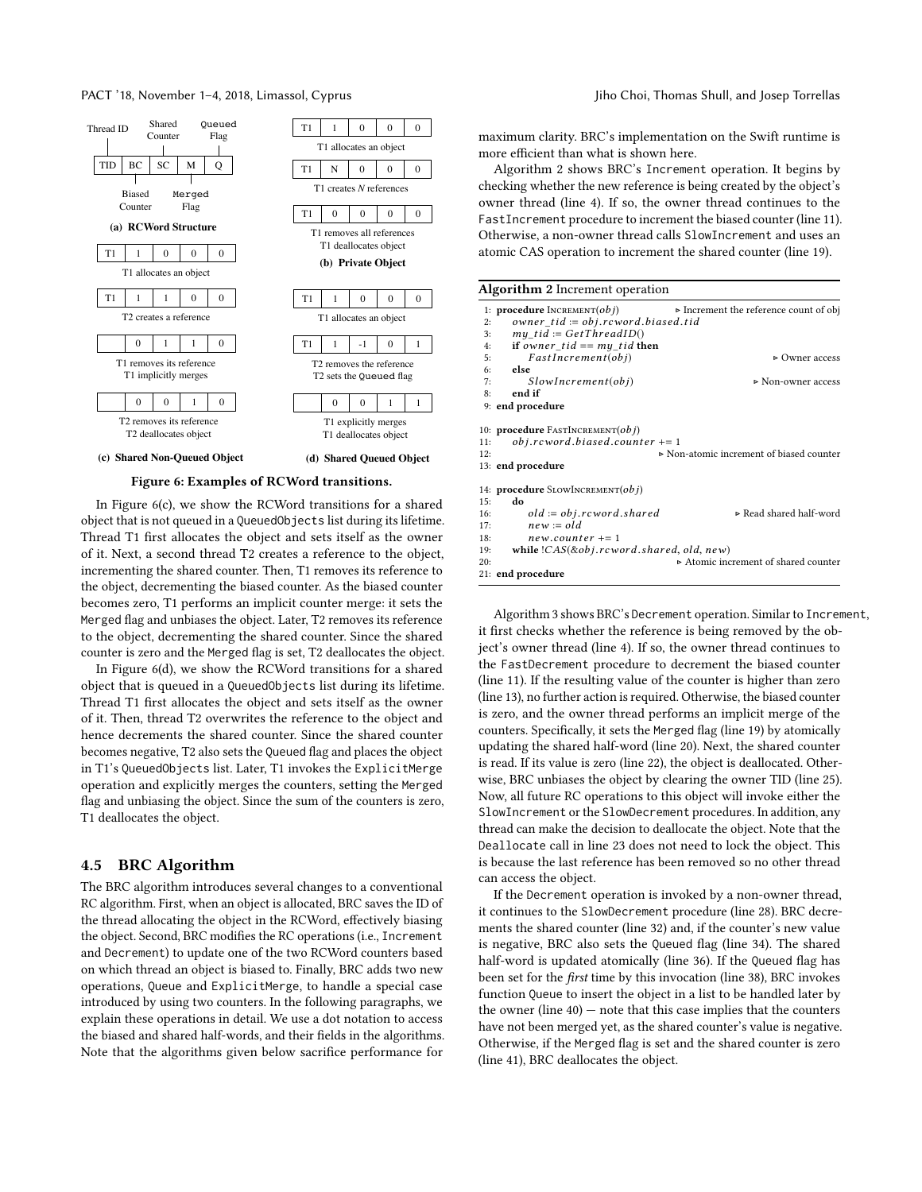PACT '18, November 1–4, 2018, Limassol, Cyprus Jiho Choi, Thomas Shull, and Josep Torrellas

<span id="page-5-0"></span>

In Figure [6\(](#page-5-0)c), we show the RCWord transitions for a shared object that is not queued in a QueuedObjects list during its lifetime. Thread T1 first allocates the object and sets itself as the owner of it. Next, a second thread T2 creates a reference to the object, incrementing the shared counter. Then, T1 removes its reference to the object, decrementing the biased counter. As the biased counter becomes zero, T1 performs an implicit counter merge: it sets the Merged flag and unbiases the object. Later, T2 removes its reference to the object, decrementing the shared counter. Since the shared counter is zero and the Merged flag is set, T2 deallocates the object.

In Figure [6\(](#page-5-0)d), we show the RCWord transitions for a shared object that is queued in a QueuedObjects list during its lifetime. Thread T1 first allocates the object and sets itself as the owner of it. Then, thread T2 overwrites the reference to the object and hence decrements the shared counter. Since the shared counter becomes negative, T2 also sets the Queued flag and places the object in T1's QueuedObjects list. Later, T1 invokes the ExplicitMerge operation and explicitly merges the counters, setting the Merged flag and unbiasing the object. Since the sum of the counters is zero, T1 deallocates the object.

# 4.5 BRC Algorithm

The BRC algorithm introduces several changes to a conventional RC algorithm. First, when an object is allocated, BRC saves the ID of the thread allocating the object in the RCWord, effectively biasing the object. Second, BRC modifies the RC operations (i.e., Increment and Decrement) to update one of the two RCWord counters based on which thread an object is biased to. Finally, BRC adds two new operations, Queue and ExplicitMerge, to handle a special case introduced by using two counters. In the following paragraphs, we explain these operations in detail. We use a dot notation to access the biased and shared half-words, and their fields in the algorithms. Note that the algorithms given below sacrifice performance for

maximum clarity. BRC's implementation on the Swift runtime is more efficient than what is shown here.

Algorithm [2](#page-5-1) shows BRC's Increment operation. It begins by checking whether the new reference is being created by the object's owner thread (line [4\)](#page-5-1). If so, the owner thread continues to the FastIncrement procedure to increment the biased counter (line [11\)](#page-5-1). Otherwise, a non-owner thread calls SlowIncrement and uses an atomic CAS operation to increment the shared counter (line [19\)](#page-5-1).

<span id="page-5-1"></span>

|            | <b>Algorithm 2</b> Increment operation                                                                       |                                                       |  |  |  |  |  |  |
|------------|--------------------------------------------------------------------------------------------------------------|-------------------------------------------------------|--|--|--|--|--|--|
| 2:         | 1: <b>procedure</b> $INCREMENT(obj)$<br>owner $tid := obj.rcword.biased.tid$                                 | $\triangleright$ Increment the reference count of obj |  |  |  |  |  |  |
| 3:         | $my$ tid := GetThreadID()                                                                                    |                                                       |  |  |  |  |  |  |
| 4:         | if owner tid $==$ my tid then                                                                                |                                                       |  |  |  |  |  |  |
| 5:         | FastIncrement(obj)                                                                                           | $\triangleright$ Owner access                         |  |  |  |  |  |  |
| 6:         | else                                                                                                         |                                                       |  |  |  |  |  |  |
| 7:         | SlowIncrement(obj)                                                                                           | ⊳ Non-owner access                                    |  |  |  |  |  |  |
| 8:         | end if                                                                                                       |                                                       |  |  |  |  |  |  |
|            | 9: end procedure                                                                                             |                                                       |  |  |  |  |  |  |
| 11:<br>12: | 10: <b>procedure</b> FASTINCREMENT( <i>obj</i> )<br>$obj. roword. biased. counter += 1$<br>13: end procedure | Non-atomic increment of biased counter                |  |  |  |  |  |  |
|            | 14: <b>procedure</b> SLOWINCREMENT $(obj)$                                                                   |                                                       |  |  |  |  |  |  |
| 15:        | do                                                                                                           |                                                       |  |  |  |  |  |  |
| 16:        | $old := obj. roword. shared$                                                                                 | ⊳ Read shared half-word                               |  |  |  |  |  |  |
| 17:        | $new := old$                                                                                                 |                                                       |  |  |  |  |  |  |
| 18:        | $new.counter += 1$                                                                                           |                                                       |  |  |  |  |  |  |
| 19:        | while $(CAS(\& obj.rcword.shape, old, new))$                                                                 |                                                       |  |  |  |  |  |  |
| 20:        |                                                                                                              | Atomic increment of shared counter                    |  |  |  |  |  |  |
|            | 21: end procedure                                                                                            |                                                       |  |  |  |  |  |  |

Algorithm [3](#page-6-0) shows BRC's Decrement operation. Similar to Increment, it first checks whether the reference is being removed by the object's owner thread (line [4\)](#page-6-0). If so, the owner thread continues to the FastDecrement procedure to decrement the biased counter (line [11\)](#page-6-0). If the resulting value of the counter is higher than zero (line [13\)](#page-6-0), no further action is required. Otherwise, the biased counter is zero, and the owner thread performs an implicit merge of the counters. Specifically, it sets the Merged flag (line [19\)](#page-6-0) by atomically updating the shared half-word (line [20\)](#page-6-0). Next, the shared counter is read. If its value is zero (line [22\)](#page-6-0), the object is deallocated. Otherwise, BRC unbiases the object by clearing the owner TID (line [25\)](#page-6-0). Now, all future RC operations to this object will invoke either the SlowIncrement or the SlowDecrement procedures. In addition, any thread can make the decision to deallocate the object. Note that the Deallocate call in line [23](#page-6-0) does not need to lock the object. This is because the last reference has been removed so no other thread can access the object.

If the Decrement operation is invoked by a non-owner thread, it continues to the SlowDecrement procedure (line [28\)](#page-6-0). BRC decrements the shared counter (line [32\)](#page-6-0) and, if the counter's new value is negative, BRC also sets the Queued flag (line [34\)](#page-6-0). The shared half-word is updated atomically (line [36\)](#page-6-0). If the Queued flag has been set for the first time by this invocation (line [38\)](#page-6-0), BRC invokes function Queue to insert the object in a list to be handled later by the owner (line  $40$ ) – note that this case implies that the counters have not been merged yet, as the shared counter's value is negative. Otherwise, if the Merged flag is set and the shared counter is zero (line [41\)](#page-6-0), BRC deallocates the object.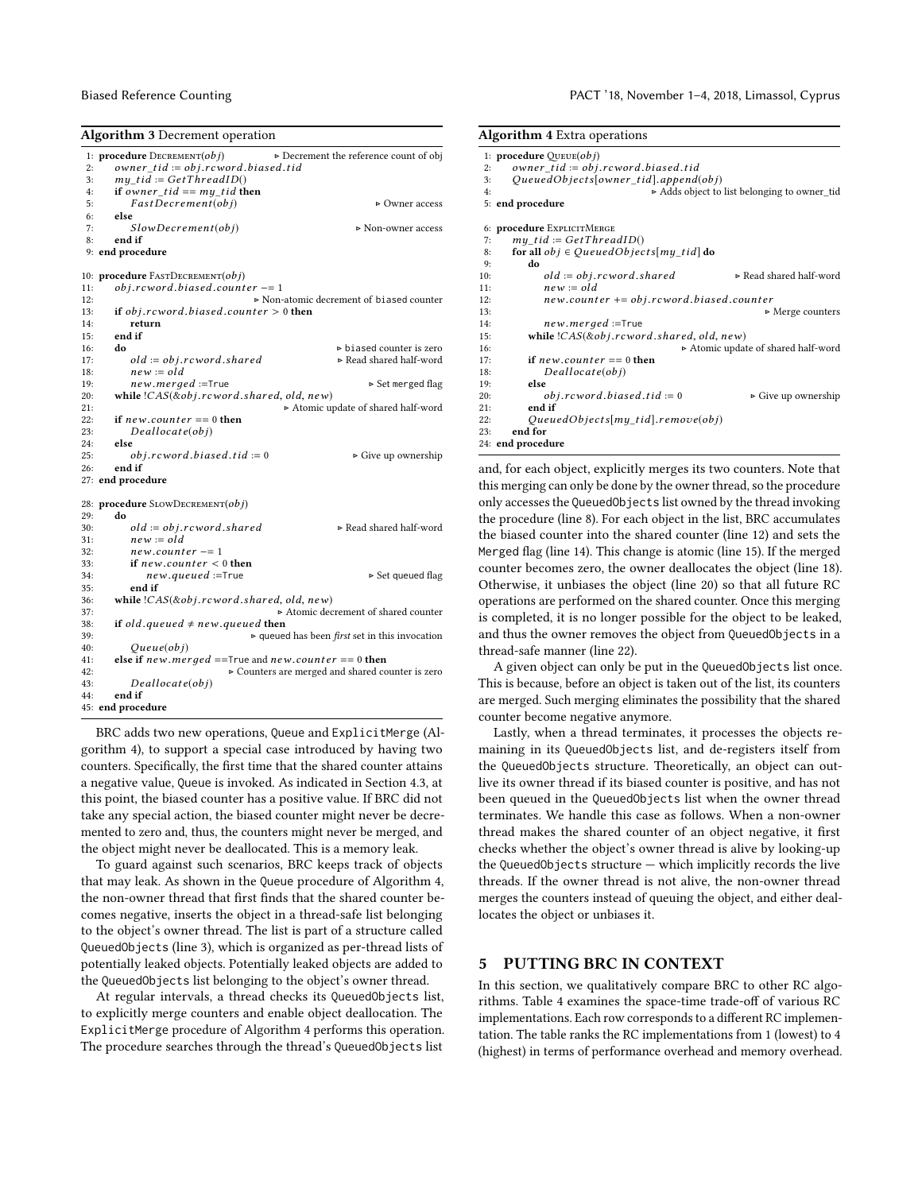```
Algorithm 3 Decrement operation
  1: procedure \text{DECREMENT}(obj) \rightarrow \text{Decrement} the reference count of obj<br>
2: owner t id := obj.r cword biased .tid<br>
3: my_t id := GetT hread ID()
 4: if owner_tid == my\_tid then<br>5: FastDecember(obj)5: FastDecember(obj) \rightarrow Owner access<br>6: else
         else
 7: SlowDecember(obj) \rightarrow Non-owner access<br>8: end if
         end if
 9: end procedure
10: procedure \text{FASTDecember}(obj)<br>11: obj rcword biased count
11: obj.reward. biased. counter = 1<br>12:
12: \triangleright Non-atomic decrement of biased counter<br>13. if ohi reword biased counter > 0 then
13: if obj.rcword.biased.counter > 0 then<br>14: return
14: return<br>15: end if
         end if
16: do biased counter is zero<br>
17: old := obj.r cword.shared b Read shared half-word<br>
18: new := old
18: new := old<br>19: new. merged := True19: new.merged :=True → Set merged flag<br>
20: while !CAS(&obj.r cword.shared, old, new)<br>
→ Atomic undate of shared half-word
21:<br>
\triangleright Atomic update of shared half-word<br>
\triangleright 22: if new counter == 0 then
22: if new.counter == 0 then<br>23: Deallocate(obj)
23: Deallocate(obj)<br>
24: else24: else<br>25: else25: obj.rcword.biased.tid := 0 \triangleright Give up ownership 26: end if
         end if
27: end procedure
28: procedure SLOWDECREMENT(obj)<br>29: do
29: do
30: old := obj.rcword.shape d \triangleright Read shared half-word 31: new := old31: new := old<br>32: new.count32: new.counter = 1<br>33: if new.counter <33: if new.counter < 0 then<br>34: new.aueued := True34: new.queued := True \triangleright Set queued flag 35: end if
35: end if<br>36: while |C \rangle36: while !CAS(\&obj.rcword.shape d, old, new)<br>37: \rightarrow Atomic dec
37:<br>
\triangleright Atomic decrement of shared counter<br>
38: if old queued \neq new queued then
38: if old .queued \neq new .queued then<br>39:
39: \rightarrow queued has been first set in this invocation 40: \qquad Qu \in (obj)40: Queue(obj)<br>
41: else if new.merged ==True and new.counter == 0 then<br>
\downarrow2:
42: \triangleright Counters are merged and shared counter is zero<br>43: \bigcap_{P \in \mathcal{P}} \left[ \bigcap_{P \in \mathcal{P}} \{ \bigcap_{P \in \mathcal{P}} \{ \bigcap_{P \in \mathcal{P}} \} \mathcal{P} \} \right]43: Deallocate(obj)<br>44: end if
         end if
45: end procedure
```
BRC adds two new operations, Queue and ExplicitMerge (Algorithm [4\)](#page-6-1), to support a special case introduced by having two counters. Specifically, the first time that the shared counter attains a negative value, Queue is invoked. As indicated in Section [4.3,](#page-4-1) at this point, the biased counter has a positive value. If BRC did not take any special action, the biased counter might never be decremented to zero and, thus, the counters might never be merged, and the object might never be deallocated. This is a memory leak.

To guard against such scenarios, BRC keeps track of objects that may leak. As shown in the Queue procedure of Algorithm [4,](#page-6-1) the non-owner thread that first finds that the shared counter becomes negative, inserts the object in a thread-safe list belonging to the object's owner thread. The list is part of a structure called QueuedObjects (line [3\)](#page-6-1), which is organized as per-thread lists of potentially leaked objects. Potentially leaked objects are added to the QueuedObjects list belonging to the object's owner thread.

At regular intervals, a thread checks its QueuedObjects list, to explicitly merge counters and enable object deallocation. The ExplicitMerge procedure of Algorithm [4](#page-6-1) performs this operation. The procedure searches through the thread's QueuedObjects list

#### Biased Reference Counting PACT '18, November 1–4, 2018, Limassol, Cyprus

<span id="page-6-1"></span>

| <b>Algorithm 4</b> Extra operations                 |                                            |  |  |  |  |  |  |  |
|-----------------------------------------------------|--------------------------------------------|--|--|--|--|--|--|--|
| 1: <b>procedure</b> $QUEUE(obj)$                    |                                            |  |  |  |  |  |  |  |
| owner $tid := obj. roword. biased. tid$<br>2:       |                                            |  |  |  |  |  |  |  |
| QueuedObjects[owner tid].append(obj)<br>3:          |                                            |  |  |  |  |  |  |  |
| 4:                                                  | Adds object to list belonging to owner_tid |  |  |  |  |  |  |  |
| 5: end procedure                                    |                                            |  |  |  |  |  |  |  |
| 6: procedure EXPLICITMERGE                          |                                            |  |  |  |  |  |  |  |
| $my$ tid := GetThreadID()<br>7:                     |                                            |  |  |  |  |  |  |  |
| for all $obj \in QueuedObjects[my\_tid]$ do<br>8:   |                                            |  |  |  |  |  |  |  |
| do<br>9:                                            |                                            |  |  |  |  |  |  |  |
| $old := obj. row ord. shared$<br>10:                | ⊳ Read shared half-word                    |  |  |  |  |  |  |  |
| $new = old$<br>11:                                  |                                            |  |  |  |  |  |  |  |
| $new.counter += obj.rcword.biased.counter$<br>12:   |                                            |  |  |  |  |  |  |  |
| 13:                                                 | $\triangleright$ Merge counters            |  |  |  |  |  |  |  |
| new.merged :=True<br>14:                            |                                            |  |  |  |  |  |  |  |
| while $(CAS(\& obj.rcword.shape, old, new))$<br>15: |                                            |  |  |  |  |  |  |  |
| 16:                                                 | Atomic update of shared half-word          |  |  |  |  |  |  |  |
| if $new.counter == 0$ then<br>17:                   |                                            |  |  |  |  |  |  |  |
| Deallocate(obj)<br>18:                              |                                            |  |  |  |  |  |  |  |
| else<br>19:                                         |                                            |  |  |  |  |  |  |  |
| $obj. roword. biased. tid := 0$<br>20:              | $\triangleright$ Give up ownership         |  |  |  |  |  |  |  |
| end if<br>21:                                       |                                            |  |  |  |  |  |  |  |
| $QueuedObjects[my\_tid].remove(obj)$<br>22:         |                                            |  |  |  |  |  |  |  |
| end for<br>23:                                      |                                            |  |  |  |  |  |  |  |
| 24: end procedure                                   |                                            |  |  |  |  |  |  |  |

and, for each object, explicitly merges its two counters. Note that this merging can only be done by the owner thread, so the procedure only accesses the QueuedObjects list owned by the thread invoking the procedure (line [8\)](#page-6-1). For each object in the list, BRC accumulates the biased counter into the shared counter (line [12\)](#page-6-1) and sets the Merged flag (line [14\)](#page-6-1). This change is atomic (line [15\)](#page-6-1). If the merged counter becomes zero, the owner deallocates the object (line [18\)](#page-6-1). Otherwise, it unbiases the object (line [20\)](#page-6-1) so that all future RC operations are performed on the shared counter. Once this merging is completed, it is no longer possible for the object to be leaked, and thus the owner removes the object from QueuedObjects in a thread-safe manner (line [22\)](#page-6-1).

A given object can only be put in the QueuedObjects list once. This is because, before an object is taken out of the list, its counters are merged. Such merging eliminates the possibility that the shared counter become negative anymore.

Lastly, when a thread terminates, it processes the objects remaining in its QueuedObjects list, and de-registers itself from the QueuedObjects structure. Theoretically, an object can outlive its owner thread if its biased counter is positive, and has not been queued in the QueuedObjects list when the owner thread terminates. We handle this case as follows. When a non-owner thread makes the shared counter of an object negative, it first checks whether the object's owner thread is alive by looking-up the QueuedObjects structure — which implicitly records the live threads. If the owner thread is not alive, the non-owner thread merges the counters instead of queuing the object, and either deallocates the object or unbiases it.

# <span id="page-6-2"></span>5 PUTTING BRC IN CONTEXT

In this section, we qualitatively compare BRC to other RC algorithms. Table [4](#page-7-1) examines the space-time trade-off of various RC implementations. Each row corresponds to a different RC implementation. The table ranks the RC implementations from 1 (lowest) to 4 (highest) in terms of performance overhead and memory overhead.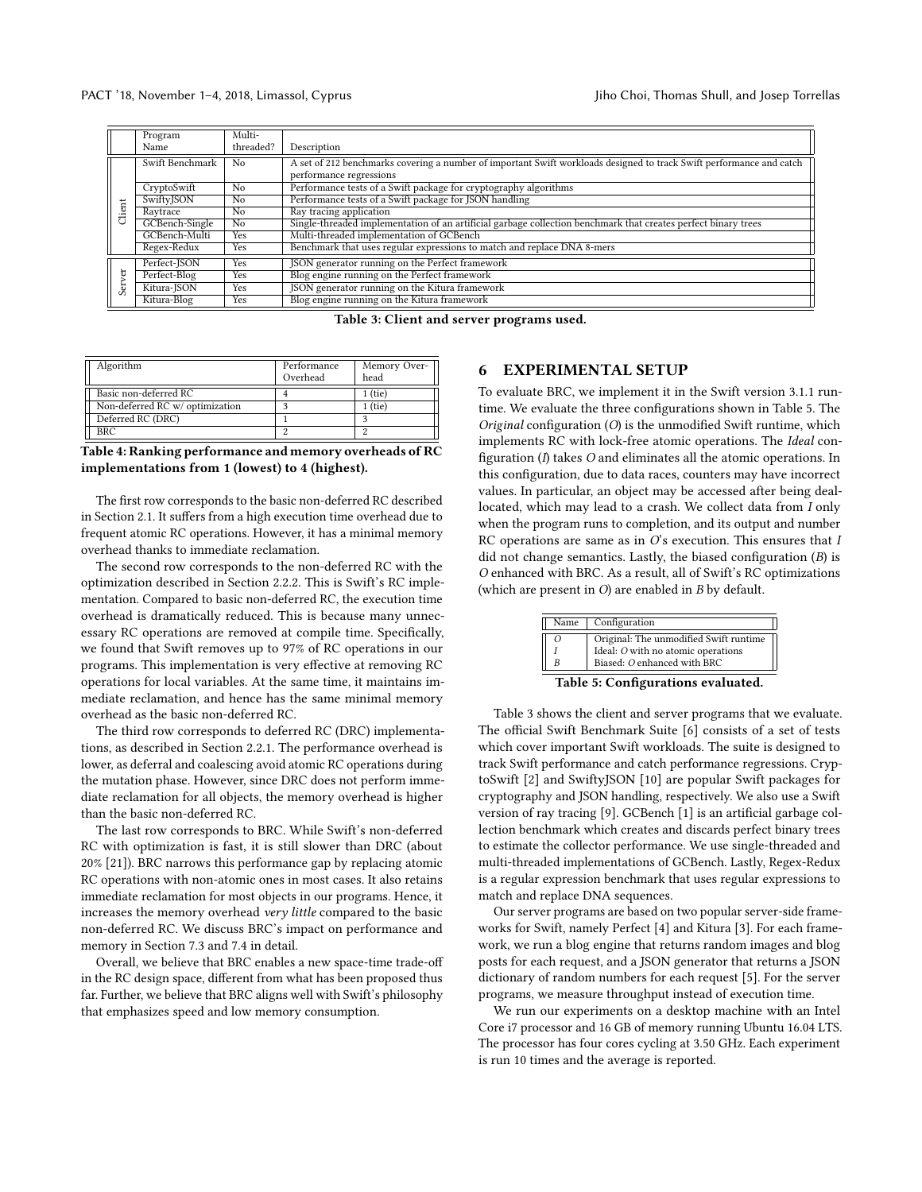<span id="page-7-3"></span>

|                       | Program           | Multi-     |                                                                                                                      |
|-----------------------|-------------------|------------|----------------------------------------------------------------------------------------------------------------------|
|                       | Name              | threaded?  | Description                                                                                                          |
| Swift Benchmark<br>No |                   |            | A set of 212 benchmarks covering a number of important Swift workloads designed to track Swift performance and catch |
|                       |                   |            | performance regressions                                                                                              |
|                       | CryptoSwift       | No         | Performance tests of a Swift package for cryptography algorithms                                                     |
|                       | <b>SwiftyJSON</b> | No         | Performance tests of a Swift package for JSON handling                                                               |
| Client                | Raytrace          | No         | Ray tracing application                                                                                              |
|                       | GCBench-Single    | No.        | Single-threaded implementation of an artificial garbage collection benchmark that creates perfect binary trees       |
|                       | GCBench-Multi     | Yes        | Multi-threaded implementation of GCBench                                                                             |
|                       | Regex-Redux       | <b>Yes</b> | Benchmark that uses regular expressions to match and replace DNA 8-mers                                              |
|                       | Perfect-JSON      | Yes        | JSON generator running on the Perfect framework                                                                      |
| ğ                     | Perfect-Blog      | <b>Yes</b> | Blog engine running on the Perfect framework                                                                         |
| ä                     | Kitura-JSON       | Yes        | JSON generator running on the Kitura framework                                                                       |
|                       | Kitura-Blog       | Yes        | Blog engine running on the Kitura framework                                                                          |

Table 3: Client and server programs used.

<span id="page-7-1"></span>

| Algorithm                       | Performance | Memory Over- |  |
|---------------------------------|-------------|--------------|--|
|                                 | Overhead    | head         |  |
| Basic non-deferred RC           |             | $1$ (tie)    |  |
| Non-deferred RC w/ optimization |             | 1 (tie)      |  |
| Deferred RC (DRC)               |             |              |  |
| <b>BRC</b>                      |             |              |  |

Table 4: Ranking performance and memory overheads of RC implementations from 1 (lowest) to 4 (highest).

The first row corresponds to the basic non-deferred RC described in Section [2.1.](#page-1-2) It suffers from a high execution time overhead due to frequent atomic RC operations. However, it has a minimal memory overhead thanks to immediate reclamation.

The second row corresponds to the non-deferred RC with the optimization described in Section [2.2.2.](#page-2-1) This is Swift's RC implementation. Compared to basic non-deferred RC, the execution time overhead is dramatically reduced. This is because many unnecessary RC operations are removed at compile time. Specifically, we found that Swift removes up to 97% of RC operations in our programs. This implementation is very effective at removing RC operations for local variables. At the same time, it maintains immediate reclamation, and hence has the same minimal memory overhead as the basic non-deferred RC.

The third row corresponds to deferred RC (DRC) implementations, as described in Section [2.2.1.](#page-2-3) The performance overhead is lower, as deferral and coalescing avoid atomic RC operations during the mutation phase. However, since DRC does not perform immediate reclamation for all objects, the memory overhead is higher than the basic non-deferred RC.

The last row corresponds to BRC. While Swift's non-deferred RC with optimization is fast, it is still slower than DRC (about 20% [\[21\]](#page-11-7)). BRC narrows this performance gap by replacing atomic RC operations with non-atomic ones in most cases. It also retains immediate reclamation for most objects in our programs. Hence, it increases the memory overhead very little compared to the basic non-deferred RC. We discuss BRC's impact on performance and memory in Section [7.3](#page-8-0) and [7.4](#page-9-0) in detail.

Overall, we believe that BRC enables a new space-time trade-off in the RC design space, different from what has been proposed thus far. Further, we believe that BRC aligns well with Swift's philosophy that emphasizes speed and low memory consumption.

#### <span id="page-7-0"></span>6 EXPERIMENTAL SETUP

To evaluate BRC, we implement it in the Swift version 3.1.1 runtime. We evaluate the three configurations shown in Table [5.](#page-7-2) The Original configuration (O) is the unmodified Swift runtime, which implements RC with lock-free atomic operations. The Ideal configuration  $(I)$  takes  $O$  and eliminates all the atomic operations. In this configuration, due to data races, counters may have incorrect values. In particular, an object may be accessed after being deallocated, which may lead to a crash. We collect data from I only when the program runs to completion, and its output and number RC operations are same as in  $O$ 's execution. This ensures that  $I$ did not change semantics. Lastly, the biased configuration  $(B)$  is O enhanced with BRC. As a result, all of Swift's RC optimizations (which are present in O) are enabled in B by default.

<span id="page-7-2"></span>

|   | Name   Configuration                   |
|---|----------------------------------------|
| Ω | Original: The unmodified Swift runtime |
|   | Ideal: O with no atomic operations     |
|   | Biased: O enhanced with BRC            |
|   |                                        |

Table 5: Configurations evaluated.

Table [3](#page-7-3) shows the client and server programs that we evaluate. The official Swift Benchmark Suite [\[6\]](#page-10-9) consists of a set of tests which cover important Swift workloads. The suite is designed to track Swift performance and catch performance regressions. CryptoSwift [\[2\]](#page-10-10) and SwiftyJSON [\[10\]](#page-10-11) are popular Swift packages for cryptography and JSON handling, respectively. We also use a Swift version of ray tracing [\[9\]](#page-10-12). GCBench [\[1\]](#page-10-13) is an artificial garbage collection benchmark which creates and discards perfect binary trees to estimate the collector performance. We use single-threaded and multi-threaded implementations of GCBench. Lastly, Regex-Redux is a regular expression benchmark that uses regular expressions to match and replace DNA sequences.

Our server programs are based on two popular server-side frameworks for Swift, namely Perfect [\[4\]](#page-10-14) and Kitura [\[3\]](#page-10-15). For each framework, we run a blog engine that returns random images and blog posts for each request, and a JSON generator that returns a JSON dictionary of random numbers for each request [\[5\]](#page-10-16). For the server programs, we measure throughput instead of execution time.

We run our experiments on a desktop machine with an Intel Core i7 processor and 16 GB of memory running Ubuntu 16.04 LTS. The processor has four cores cycling at 3.50 GHz. Each experiment is run 10 times and the average is reported.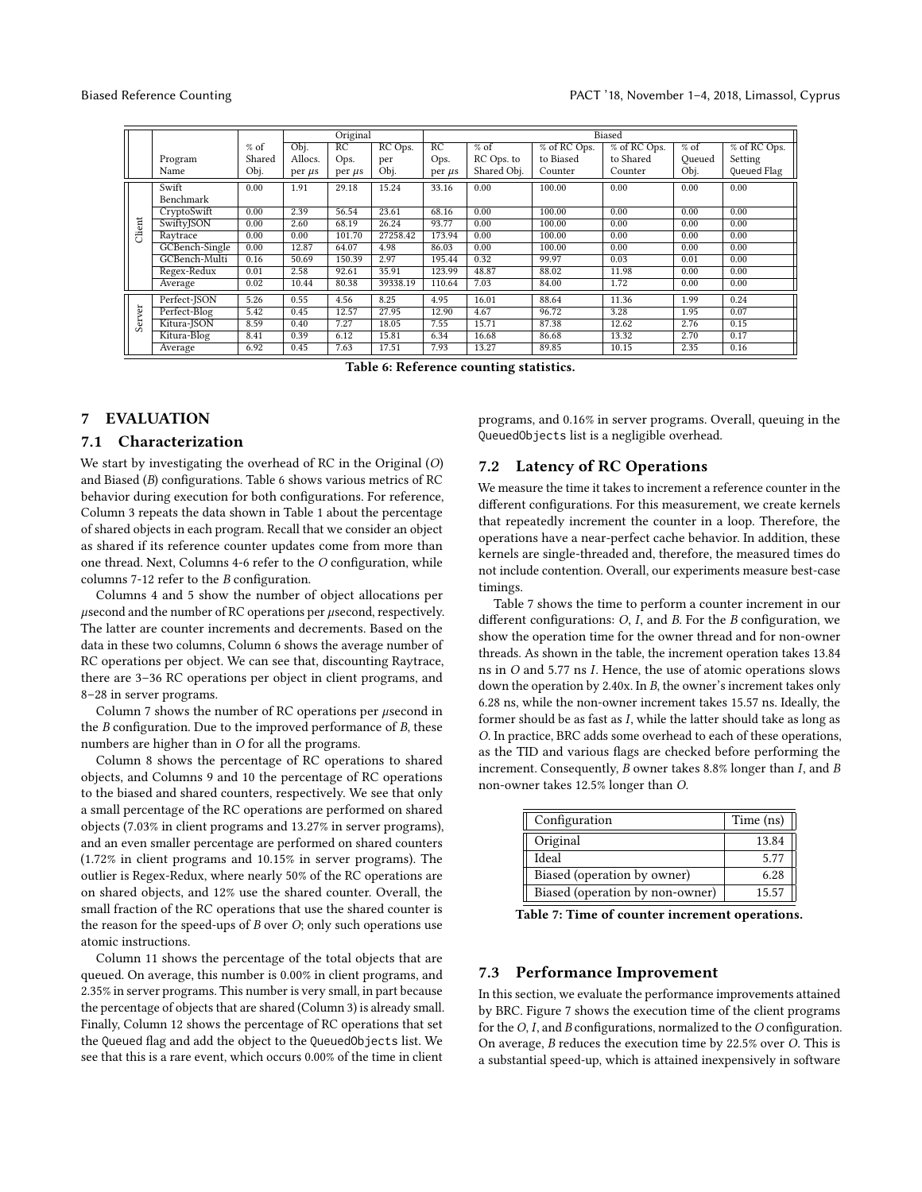<span id="page-8-1"></span>

|        |                |        |             | Original<br>Biased |          |             |             |                |             |        |                |
|--------|----------------|--------|-------------|--------------------|----------|-------------|-------------|----------------|-------------|--------|----------------|
|        |                | $%$ of | Obj.        | RC                 | RC Ops.  | RC          | $%$ of      | $% of RC$ Ops. | % of RCOps. | $%$ of | $% of RC$ Ops. |
|        | Program        | Shared | Allocs.     | Ops.               | per      | Ops.        | RC Ops. to  | to Biased      | to Shared   | Oueued | Setting        |
|        | Name           | Obj.   | per $\mu$ s | per $\mu$ s        | Obj.     | per $\mu$ s | Shared Obj. | Counter        | Counter     | Obj.   | Queued Flag    |
|        | Swift          | 0.00   | 1.91        | 29.18              | 15.24    | 33.16       | 0.00        | 100.00         | 0.00        | 0.00   | 0.00           |
|        | Benchmark      |        |             |                    |          |             |             |                |             |        |                |
|        | CryptoSwift    | 0.00   | 2.39        | 56.54              | 23.61    | 68.16       | 0.00        | 100.00         | 0.00        | 0.00   | 0.00           |
| Client | SwiftyJSON     | 0.00   | 2.60        | 68.19              | 26.24    | 93.77       | 0.00        | 100.00         | 0.00        | 0.00   | 0.00           |
|        | Raytrace       | 0.00   | 0.00        | 101.70             | 27258.42 | 173.94      | 0.00        | 100.00         | 0.00        | 0.00   | 0.00           |
|        | GCBench-Single | 0.00   | 12.87       | 64.07              | 4.98     | 86.03       | 0.00        | 100.00         | 0.00        | 0.00   | 0.00           |
|        | GCBench-Multi  | 0.16   | 50.69       | 150.39             | 2.97     | 195.44      | 0.32        | 99.97          | 0.03        | 0.01   | 0.00           |
|        | Regex-Redux    | 0.01   | 2.58        | 92.61              | 35.91    | 123.99      | 48.87       | 88.02          | 11.98       | 0.00   | 0.00           |
|        | Average        | 0.02   | 10.44       | 80.38              | 39338.19 | 110.64      | 7.03        | 84.00          | 1.72        | 0.00   | 0.00           |
|        | Perfect-JSON   | 5.26   | 0.55        | 4.56               | 8.25     | 4.95        | 16.01       | 88.64          | 11.36       | 1.99   | 0.24           |
| Server | Perfect-Blog   | 5.42   | 0.45        | 12.57              | 27.95    | 12.90       | 4.67        | 96.72          | 3.28        | 1.95   | 0.07           |
|        | Kitura-JSON    | 8.59   | 0.40        | 7.27               | 18.05    | 7.55        | 15.71       | 87.38          | 12.62       | 2.76   | 0.15           |
|        | Kitura-Blog    | 8.41   | 0.39        | 6.12               | 15.81    | 6.34        | 16.68       | 86.68          | 13.32       | 2.70   | 0.17           |
|        | Average        | 6.92   | 0.45        | 7.63               | 17.51    | 7.93        | 13.27       | 89.85          | 10.15       | 2.35   | 0.16           |

Table 6: Reference counting statistics.

# 7 EVALUATION

#### 7.1 Characterization

We start by investigating the overhead of RC in the Original (O) and Biased (B) configurations. Table [6](#page-8-1) shows various metrics of RC behavior during execution for both configurations. For reference, Column 3 repeats the data shown in Table [1](#page-3-0) about the percentage of shared objects in each program. Recall that we consider an object as shared if its reference counter updates come from more than one thread. Next, Columns 4-6 refer to the O configuration, while columns 7-12 refer to the B configuration.

Columns 4 and 5 show the number of object allocations per µsecond and the number of RC operations per µsecond, respectively. The latter are counter increments and decrements. Based on the data in these two columns, Column 6 shows the average number of RC operations per object. We can see that, discounting Raytrace, there are 3–36 RC operations per object in client programs, and 8–28 in server programs.

Column 7 shows the number of RC operations per  $\mu$ second in the  $B$  configuration. Due to the improved performance of  $B$ , these numbers are higher than in O for all the programs.

Column 8 shows the percentage of RC operations to shared objects, and Columns 9 and 10 the percentage of RC operations to the biased and shared counters, respectively. We see that only a small percentage of the RC operations are performed on shared objects (7.03% in client programs and 13.27% in server programs), and an even smaller percentage are performed on shared counters (1.72% in client programs and 10.15% in server programs). The outlier is Regex-Redux, where nearly 50% of the RC operations are on shared objects, and 12% use the shared counter. Overall, the small fraction of the RC operations that use the shared counter is the reason for the speed-ups of  $B$  over  $O$ ; only such operations use atomic instructions.

Column 11 shows the percentage of the total objects that are queued. On average, this number is 0.00% in client programs, and 2.35% in server programs. This number is very small, in part because the percentage of objects that are shared (Column 3) is already small. Finally, Column 12 shows the percentage of RC operations that set the Queued flag and add the object to the QueuedObjects list. We see that this is a rare event, which occurs 0.00% of the time in client

programs, and 0.16% in server programs. Overall, queuing in the QueuedObjects list is a negligible overhead.

# 7.2 Latency of RC Operations

We measure the time it takes to increment a reference counter in the different configurations. For this measurement, we create kernels that repeatedly increment the counter in a loop. Therefore, the operations have a near-perfect cache behavior. In addition, these kernels are single-threaded and, therefore, the measured times do not include contention. Overall, our experiments measure best-case timings.

Table [7](#page-8-2) shows the time to perform a counter increment in our different configurations:  $O$ ,  $I$ , and  $B$ . For the  $B$  configuration, we show the operation time for the owner thread and for non-owner threads. As shown in the table, the increment operation takes 13.84 ns in O and 5.77 ns I. Hence, the use of atomic operations slows down the operation by 2.40x. In B, the owner's increment takes only 6.28 ns, while the non-owner increment takes 15.57 ns. Ideally, the former should be as fast as I, while the latter should take as long as O. In practice, BRC adds some overhead to each of these operations, as the TID and various flags are checked before performing the increment. Consequently, B owner takes 8.8% longer than I, and B non-owner takes 12.5% longer than O.

<span id="page-8-2"></span>

| Configuration                   | Time (ns) |
|---------------------------------|-----------|
| Original                        | 13.84     |
| Ideal                           | 5.77      |
| Biased (operation by owner)     | 6.28      |
| Biased (operation by non-owner) | 15.57     |

Table 7: Time of counter increment operations.

#### <span id="page-8-0"></span>7.3 Performance Improvement

In this section, we evaluate the performance improvements attained by BRC. Figure [7](#page-9-1) shows the execution time of the client programs for the O, I, and B configurations, normalized to the O configuration. On average, B reduces the execution time by 22.5% over O. This is a substantial speed-up, which is attained inexpensively in software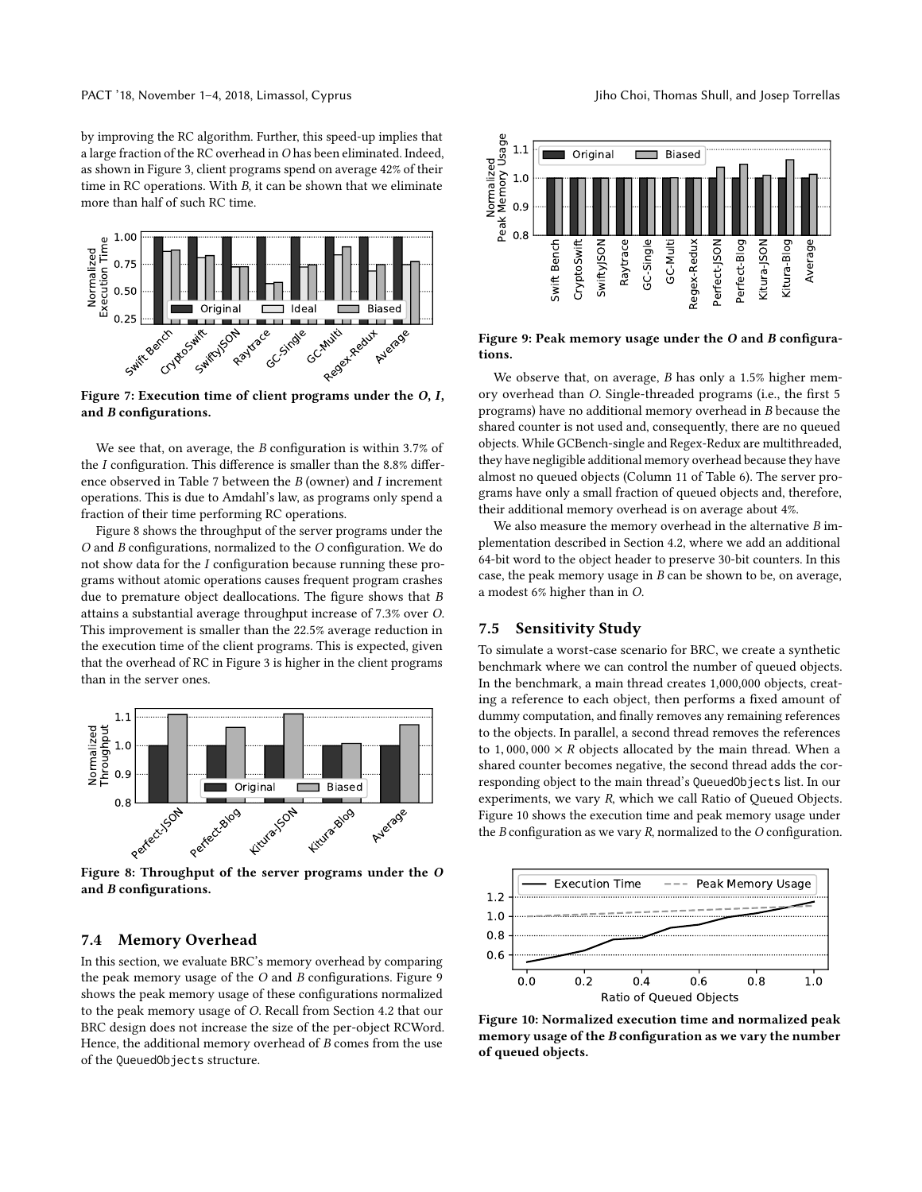by improving the RC algorithm. Further, this speed-up implies that a large fraction of the RC overhead in O has been eliminated. Indeed, as shown in Figure [3,](#page-2-2) client programs spend on average 42% of their time in RC operations. With B, it can be shown that we eliminate more than half of such RC time.

<span id="page-9-1"></span>

Figure 7: Execution time of client programs under the O, I, and B configurations.

We see that, on average, the *B* configuration is within 3.7% of the I configuration. This difference is smaller than the 8.8% difference observed in Table [7](#page-8-2) between the B (owner) and I increment operations. This is due to Amdahl's law, as programs only spend a fraction of their time performing RC operations.

<span id="page-9-2"></span>Figure [8](#page-9-2) shows the throughput of the server programs under the O and B configurations, normalized to the O configuration. We do not show data for the I configuration because running these programs without atomic operations causes frequent program crashes due to premature object deallocations. The figure shows that B attains a substantial average throughput increase of 7.3% over O. This improvement is smaller than the 22.5% average reduction in the execution time of the client programs. This is expected, given that the overhead of RC in Figure [3](#page-2-2) is higher in the client programs than in the server ones.



Figure 8: Throughput of the server programs under the O and B configurations.

### <span id="page-9-0"></span>7.4 Memory Overhead

In this section, we evaluate BRC's memory overhead by comparing the peak memory usage of the O and B configurations. Figure [9](#page-9-3) shows the peak memory usage of these configurations normalized to the peak memory usage of O. Recall from Section [4.2](#page-3-1) that our BRC design does not increase the size of the per-object RCWord. Hence, the additional memory overhead of  $B$  comes from the use

<span id="page-9-3"></span>

Figure 9: Peak memory usage under the O and B configurations.

We observe that, on average,  $B$  has only a 1.5% higher memory overhead than O. Single-threaded programs (i.e., the first 5 programs) have no additional memory overhead in B because the shared counter is not used and, consequently, there are no queued objects. While GCBench-single and Regex-Redux are multithreaded, they have negligible additional memory overhead because they have almost no queued objects (Column 11 of Table [6\)](#page-8-1). The server programs have only a small fraction of queued objects and, therefore, their additional memory overhead is on average about 4%.

We also measure the memory overhead in the alternative  $B$  implementation described in Section [4.2,](#page-3-1) where we add an additional 64-bit word to the object header to preserve 30-bit counters. In this case, the peak memory usage in B can be shown to be, on average, a modest 6% higher than in O.

# 7.5 Sensitivity Study

To simulate a worst-case scenario for BRC, we create a synthetic benchmark where we can control the number of queued objects. In the benchmark, a main thread creates 1,000,000 objects, creating a reference to each object, then performs a fixed amount of dummy computation, and finally removes any remaining references to the objects. In parallel, a second thread removes the references to 1,000,000  $\times$  R objects allocated by the main thread. When a shared counter becomes negative, the second thread adds the corresponding object to the main thread's QueuedObjects list. In our experiments, we vary R, which we call Ratio of Queued Objects. Figure [10](#page-9-4) shows the execution time and peak memory usage under the  $B$  configuration as we vary  $R$ , normalized to the  $O$  configuration.

<span id="page-9-4"></span>

Figure 10: Normalized execution time and normalized peak memory usage of the B configuration as we vary the number of queued objects.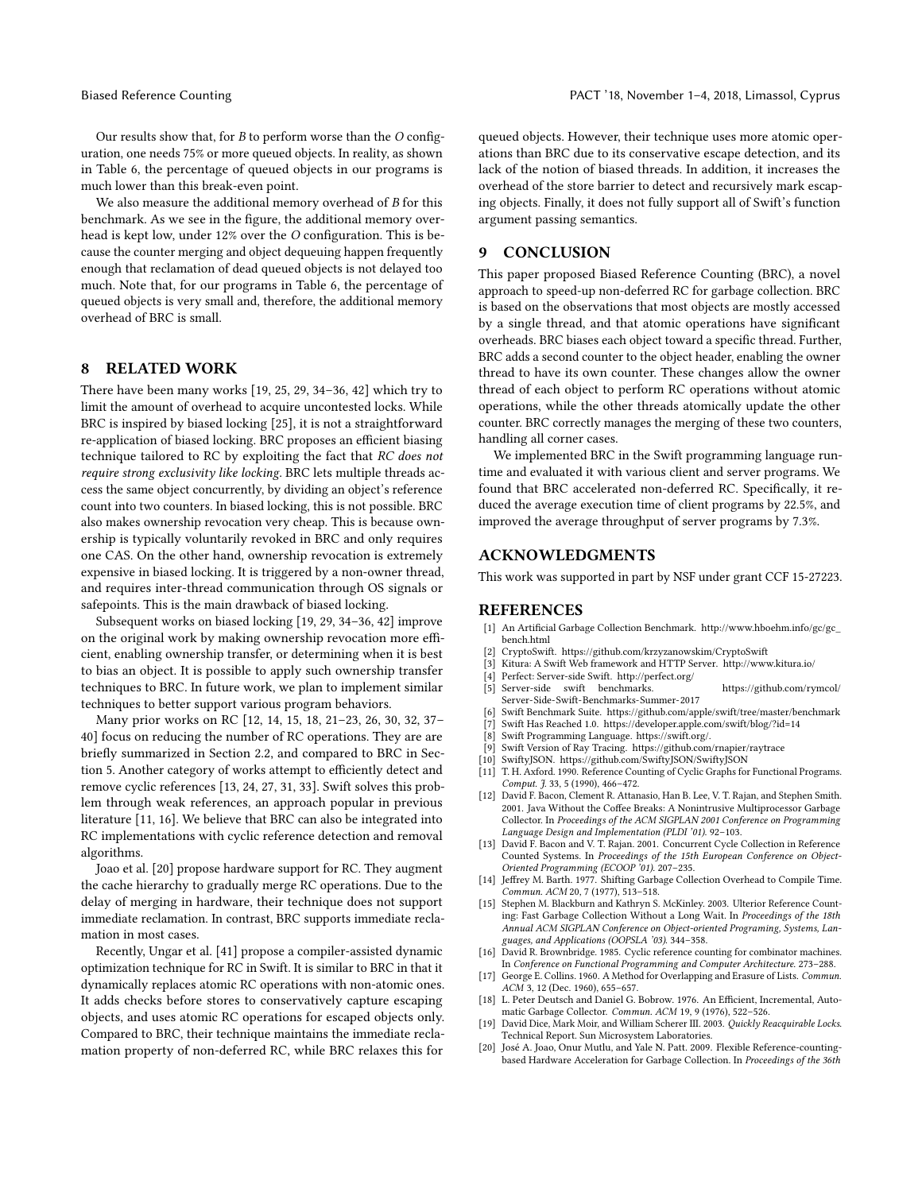Our results show that, for  $B$  to perform worse than the  $O$  configuration, one needs 75% or more queued objects. In reality, as shown in Table [6,](#page-8-1) the percentage of queued objects in our programs is much lower than this break-even point.

We also measure the additional memory overhead of B for this benchmark. As we see in the figure, the additional memory overhead is kept low, under 12% over the O configuration. This is because the counter merging and object dequeuing happen frequently enough that reclamation of dead queued objects is not delayed too much. Note that, for our programs in Table [6,](#page-8-1) the percentage of queued objects is very small and, therefore, the additional memory overhead of BRC is small.

#### 8 RELATED WORK

There have been many works [\[19,](#page-10-17) [25,](#page-11-2) [29,](#page-11-10) [34](#page-11-11)[–36,](#page-11-12) [42\]](#page-11-13) which try to limit the amount of overhead to acquire uncontested locks. While BRC is inspired by biased locking [\[25\]](#page-11-2), it is not a straightforward re-application of biased locking. BRC proposes an efficient biasing technique tailored to RC by exploiting the fact that RC does not require strong exclusivity like locking. BRC lets multiple threads access the same object concurrently, by dividing an object's reference count into two counters. In biased locking, this is not possible. BRC also makes ownership revocation very cheap. This is because ownership is typically voluntarily revoked in BRC and only requires one CAS. On the other hand, ownership revocation is extremely expensive in biased locking. It is triggered by a non-owner thread, and requires inter-thread communication through OS signals or safepoints. This is the main drawback of biased locking.

Subsequent works on biased locking [\[19,](#page-10-17) [29,](#page-11-10) [34](#page-11-11)[–36,](#page-11-12) [42\]](#page-11-13) improve on the original work by making ownership revocation more efficient, enabling ownership transfer, or determining when it is best to bias an object. It is possible to apply such ownership transfer techniques to BRC. In future work, we plan to implement similar techniques to better support various program behaviors.

Many prior works on RC [\[12,](#page-10-2) [14,](#page-10-5) [15,](#page-10-3) [18,](#page-10-4) [21–](#page-11-7)[23,](#page-11-8) [26,](#page-11-5) [30,](#page-11-9) [32,](#page-11-6) [37–](#page-11-3) [40\]](#page-11-4) focus on reducing the number of RC operations. They are are briefly summarized in Section [2.2,](#page-2-4) and compared to BRC in Section [5.](#page-6-2) Another category of works attempt to efficiently detect and remove cyclic references [\[13,](#page-10-18) [24,](#page-11-14) [27,](#page-11-15) [31,](#page-11-16) [33\]](#page-11-17). Swift solves this problem through weak references, an approach popular in previous literature [\[11,](#page-10-7) [16\]](#page-10-8). We believe that BRC can also be integrated into RC implementations with cyclic reference detection and removal algorithms.

Joao et al. [\[20\]](#page-10-19) propose hardware support for RC. They augment the cache hierarchy to gradually merge RC operations. Due to the delay of merging in hardware, their technique does not support immediate reclamation. In contrast, BRC supports immediate reclamation in most cases.

Recently, Ungar et al. [\[41\]](#page-11-18) propose a compiler-assisted dynamic optimization technique for RC in Swift. It is similar to BRC in that it dynamically replaces atomic RC operations with non-atomic ones. It adds checks before stores to conservatively capture escaping objects, and uses atomic RC operations for escaped objects only. Compared to BRC, their technique maintains the immediate reclamation property of non-deferred RC, while BRC relaxes this for

queued objects. However, their technique uses more atomic operations than BRC due to its conservative escape detection, and its lack of the notion of biased threads. In addition, it increases the overhead of the store barrier to detect and recursively mark escaping objects. Finally, it does not fully support all of Swift's function argument passing semantics.

# 9 CONCLUSION

This paper proposed Biased Reference Counting (BRC), a novel approach to speed-up non-deferred RC for garbage collection. BRC is based on the observations that most objects are mostly accessed by a single thread, and that atomic operations have significant overheads. BRC biases each object toward a specific thread. Further, BRC adds a second counter to the object header, enabling the owner thread to have its own counter. These changes allow the owner thread of each object to perform RC operations without atomic operations, while the other threads atomically update the other counter. BRC correctly manages the merging of these two counters, handling all corner cases.

We implemented BRC in the Swift programming language runtime and evaluated it with various client and server programs. We found that BRC accelerated non-deferred RC. Specifically, it reduced the average execution time of client programs by 22.5%, and improved the average throughput of server programs by 7.3%.

# ACKNOWLEDGMENTS

This work was supported in part by NSF under grant CCF 15-27223.

#### REFERENCES

- <span id="page-10-13"></span>[1] An Artificial Garbage Collection Benchmark. [http://www.hboehm.info/gc/gc\\_](http://www.hboehm.info/gc/gc_bench.html) [bench.html](http://www.hboehm.info/gc/gc_bench.html)
- <span id="page-10-10"></span>[2] CryptoSwift.<https://github.com/krzyzanowskim/CryptoSwift>
- <span id="page-10-15"></span>[3] Kitura: A Swift Web framework and HTTP Server.<http://www.kitura.io/>
- <span id="page-10-14"></span>[4] Perfect: Server-side Swift.<http://perfect.org/>
- <span id="page-10-16"></span>[5] Server-side swift benchmarks. [https://github.com/rymcol/](https://github.com/rymcol/Server-Side-Swift-Benchmarks-Summer-2017) [Server-Side-Swift-Benchmarks-Summer-2017](https://github.com/rymcol/Server-Side-Swift-Benchmarks-Summer-2017)
- <span id="page-10-9"></span>[6] Swift Benchmark Suite.<https://github.com/apple/swift/tree/master/benchmark>
- <span id="page-10-6"></span>Swift Has Reached 1.0.<https://developer.apple.com/swift/blog/?id=14>
- <span id="page-10-1"></span>[8] Swift Programming Language. https://swift.org/.
- <span id="page-10-12"></span>[9] Swift Version of Ray Tracing.<https://github.com/rnapier/raytrace>
- <span id="page-10-11"></span>[10] SwiftyJSON.<https://github.com/SwiftyJSON/SwiftyJSON>
- <span id="page-10-7"></span>[11] T. H. Axford. 1990. Reference Counting of Cyclic Graphs for Functional Programs. Comput. *J.* 33, 5 (1990), 466-472.
- <span id="page-10-2"></span>[12] David F. Bacon, Clement R. Attanasio, Han B. Lee, V. T. Rajan, and Stephen Smith. 2001. Java Without the Coffee Breaks: A Nonintrusive Multiprocessor Garbage Collector. In Proceedings of the ACM SIGPLAN 2001 Conference on Programming Language Design and Implementation (PLDI '01). 92–103.
- <span id="page-10-18"></span>[13] David F. Bacon and V. T. Rajan. 2001. Concurrent Cycle Collection in Reference Counted Systems. In Proceedings of the 15th European Conference on Object-Oriented Programming (ECOOP '01). 207–235.
- <span id="page-10-5"></span>[14] Jeffrey M. Barth. 1977. Shifting Garbage Collection Overhead to Compile Time. Commun. ACM 20, 7 (1977), 513–518.
- <span id="page-10-3"></span>[15] Stephen M. Blackburn and Kathryn S. McKinley. 2003. Ulterior Reference Counting: Fast Garbage Collection Without a Long Wait. In Proceedings of the 18th Annual ACM SIGPLAN Conference on Object-oriented Programing, Systems, Languages, and Applications (OOPSLA '03). 344–358.<br>[16] David R. Brownbridge. 1985. Cyclic reference counting for combinator machines.
- <span id="page-10-8"></span>In Conference on Functional Programming and Computer Architecture. 273–288.
- <span id="page-10-0"></span>[17] George E. Collins. 1960. A Method for Overlapping and Erasure of Lists. Commun. ACM 3, 12 (Dec. 1960), 655–657.
- <span id="page-10-4"></span>[18] L. Peter Deutsch and Daniel G. Bobrow. 1976. An Efficient, Incremental, Automatic Garbage Collector. Commun. ACM 19, 9 (1976), 522–526.
- <span id="page-10-17"></span>[19] David Dice, Mark Moir, and William Scherer III. 2003. Quickly Reacquirable Locks. Technical Report. Sun Microsystem Laboratories.
- <span id="page-10-19"></span>[20] José A. Joao, Onur Mutlu, and Yale N. Patt. 2009. Flexible Reference-countingbased Hardware Acceleration for Garbage Collection. In Proceedings of the 36th